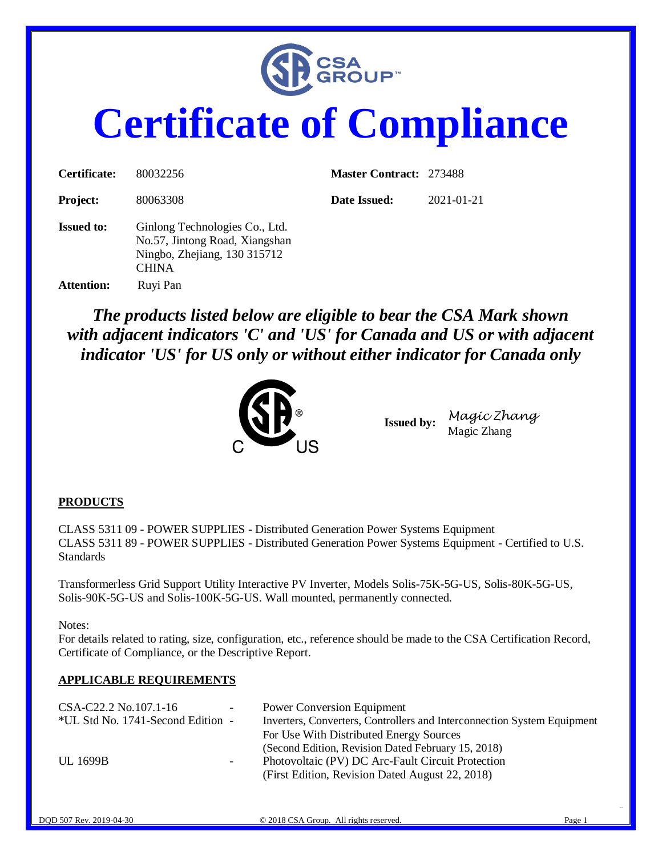

# **Certificate of Compliance**

| Certificate:      | 80032256                                                                                                         | <b>Master Contract: 273488</b> |            |
|-------------------|------------------------------------------------------------------------------------------------------------------|--------------------------------|------------|
| <b>Project:</b>   | 80063308                                                                                                         | Date Issued:                   | 2021-01-21 |
| <b>Issued to:</b> | Ginlong Technologies Co., Ltd.<br>No.57, Jintong Road, Xiangshan<br>Ningbo, Zhejiang, 130 315712<br><b>CHINA</b> |                                |            |
| <b>Attention:</b> | Ruyi Pan                                                                                                         |                                |            |

*The products listed below are eligible to bear the CSA Mark shown with adjacent indicators 'C' and 'US' for Canada and US or with adjacent indicator 'US' for US only or without either indicator for Canada only* 



**Issued by:** *Magic Zhang* Magic Zhang

#### **PRODUCTS**

CLASS 5311 09 - POWER SUPPLIES - Distributed Generation Power Systems Equipment CLASS 5311 89 - POWER SUPPLIES - Distributed Generation Power Systems Equipment - Certified to U.S. Standards

Transformerless Grid Support Utility Interactive PV Inverter, Models Solis-75K-5G-US, Solis-80K-5G-US, Solis-90K-5G-US and Solis-100K-5G-US. Wall mounted, permanently connected.

Notes:

For details related to rating, size, configuration, etc., reference should be made to the CSA Certification Record, Certificate of Compliance, or the Descriptive Report.

#### **APPLICABLE REQUIREMENTS**

| CSA-C22.2 No.107.1-16             | $\overline{\phantom{a}}$ | <b>Power Conversion Equipment</b>                                       |
|-----------------------------------|--------------------------|-------------------------------------------------------------------------|
| *UL Std No. 1741-Second Edition - |                          | Inverters, Converters, Controllers and Interconnection System Equipment |
|                                   |                          | For Use With Distributed Energy Sources                                 |
|                                   |                          | (Second Edition, Revision Dated February 15, 2018)                      |
| UL 1699B                          | -                        | Photovoltaic (PV) DC Arc-Fault Circuit Protection                       |
|                                   |                          | (First Edition, Revision Dated August 22, 2018)                         |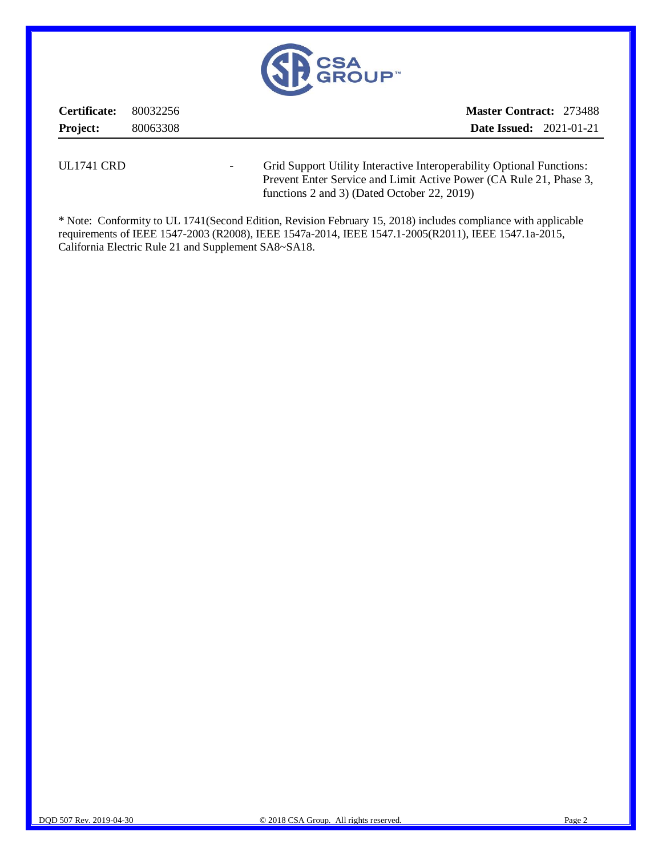

**Certificate:** 80032256 **Project:** 80063308 **Master Contract:** 273488 **Date Issued:** 2021-01-21

UL1741 CRD - Grid Support Utility Interactive Interoperability Optional Functions: Prevent Enter Service and Limit Active Power (CA Rule 21, Phase 3, functions 2 and 3) (Dated October 22, 2019)

\* Note: Conformity to UL 1741(Second Edition, Revision February 15, 2018) includes compliance with applicable requirements of IEEE 1547-2003 (R2008), IEEE 1547a-2014, IEEE 1547.1-2005(R2011), IEEE 1547.1a-2015, California Electric Rule 21 and Supplement SA8~SA18.